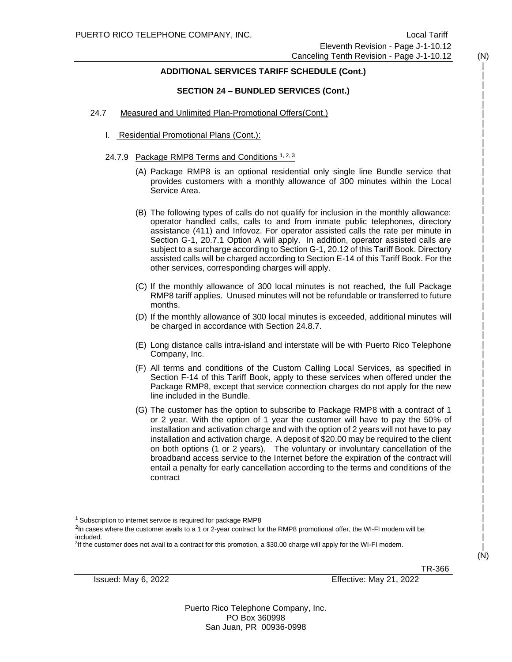#### **ADDITIONAL SERVICES TARIFF SCHEDULE (Cont.)**

#### **SECTION 24 – BUNDLED SERVICES (Cont.)**

#### 24.7 Measured and Unlimited Plan-Promotional Offers(Cont.)

- I. Residential Promotional Plans (Cont.):
- 24.7.9 Package RMP8 Terms and Conditions 1, 2, 3
	- (A) Package RMP8 is an optional residential only single line Bundle service that provides customers with a monthly allowance of 300 minutes within the Local Service Area.
	- (B) The following types of calls do not qualify for inclusion in the monthly allowance: operator handled calls, calls to and from inmate public telephones, directory assistance (411) and Infovoz. For operator assisted calls the rate per minute in Section G-1, 20.7.1 Option A will apply. In addition, operator assisted calls are subject to a surcharge according to Section G-1, 20.12 of this Tariff Book. Directory assisted calls will be charged according to Section E-14 of this Tariff Book. For the other services, corresponding charges will apply.
	- (C) If the monthly allowance of 300 local minutes is not reached, the full Package RMP8 tariff applies. Unused minutes will not be refundable or transferred to future months.
	- (D) If the monthly allowance of 300 local minutes is exceeded, additional minutes will be charged in accordance with Section 24.8.7.
	- (E) Long distance calls intra-island and interstate will be with Puerto Rico Telephone Company, Inc.
	- (F) All terms and conditions of the Custom Calling Local Services, as specified in Section F-14 of this Tariff Book, apply to these services when offered under the Package RMP8, except that service connection charges do not apply for the new line included in the Bundle.
	- (G) The customer has the option to subscribe to Package RMP8 with a contract of 1 or 2 year. With the option of 1 year the customer will have to pay the 50% of installation and activation charge and with the option of 2 years will not have to pay installation and activation charge. A deposit of \$20.00 may be required to the client on both options (1 or 2 years). The voluntary or involuntary cancellation of the broadband access service to the Internet before the expiration of the contract will entail a penalty for early cancellation according to the terms and conditions of the contract

<sup>1</sup> Subscription to internet service is required for package RMP8

<sup>2</sup>In cases where the customer avails to a 1 or 2-year contract for the RMP8 promotional offer, the WI-FI modem will be included.

3 If the customer does not avail to a contract for this promotion, a \$30.00 charge will apply for the WI-FI modem.

TR-366

Issued: May 6, 2022 Effective: May 21, 2022

Puerto Rico Telephone Company, Inc. PO Box 360998 San Juan, PR 00936-0998

 | | | | | | | | | | | | | | | | | | | | | | | | | | | | | | | | | | | | | | | | | | | | | | | | | | (N)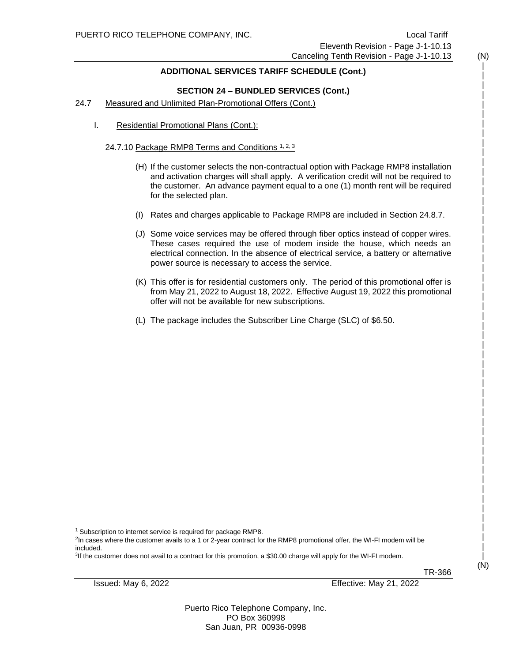#### **ADDITIONAL SERVICES TARIFF SCHEDULE (Cont.)**

#### **SECTION 24 – BUNDLED SERVICES (Cont.)**

#### 24.7 Measured and Unlimited Plan-Promotional Offers (Cont.)

I. Residential Promotional Plans (Cont.):

#### 24.7.10 Package RMP8 Terms and Conditions 1, 2, 3

- (H) If the customer selects the non-contractual option with Package RMP8 installation and activation charges will shall apply. A verification credit will not be required to the customer. An advance payment equal to a one (1) month rent will be required for the selected plan.
- (I) Rates and charges applicable to Package RMP8 are included in Section 24.8.7.
- (J) Some voice services may be offered through fiber optics instead of copper wires. These cases required the use of modem inside the house, which needs an electrical connection. In the absence of electrical service, a battery or alternative power source is necessary to access the service.
- (K) This offer is for residential customers only. The period of this promotional offer is from May 21, 2022 to August 18, 2022. Effective August 19, 2022 this promotional offer will not be available for new subscriptions.
- (L) The package includes the Subscriber Line Charge (SLC) of \$6.50.

<sup>1</sup> Subscription to internet service is required for package RMP8.

<sup>2</sup>In cases where the customer avails to a 1 or 2-year contract for the RMP8 promotional offer, the WI-FI modem will be included.

3 If the customer does not avail to a contract for this promotion, a \$30.00 charge will apply for the WI-FI modem.

TR-366

Issued: May 6, 2022 Effective: May 21, 2022

Puerto Rico Telephone Company, Inc. PO Box 360998 San Juan, PR 00936-0998

 | | | | | | | | | | | | | | | | | | | | | | | | | | | | | | | | | | | | | | | | | | | | | | | | | | | (N)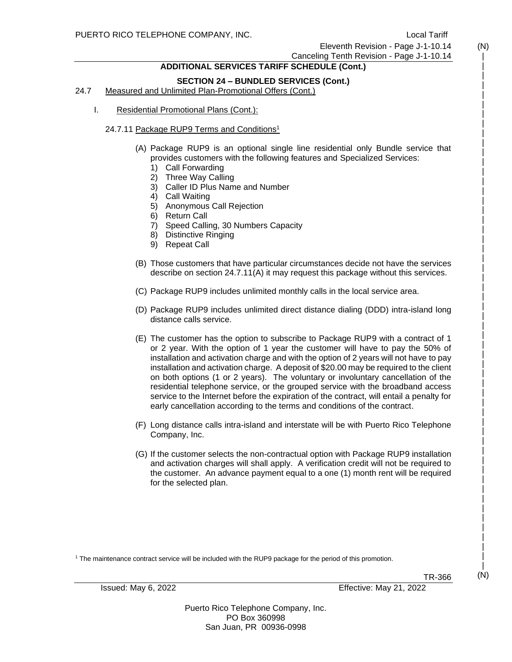Eleventh Revision - Page J-1-10.14

## Canceling Tenth Revision - Page J-1-10.14

### **ADDITIONAL SERVICES TARIFF SCHEDULE (Cont.)**

#### **SECTION 24 – BUNDLED SERVICES (Cont.)**

24.7 Measured and Unlimited Plan-Promotional Offers (Cont.)

I. Residential Promotional Plans (Cont.):

#### 24.7.11 Package RUP9 Terms and Conditions<sup>1</sup>

- (A) Package RUP9 is an optional single line residential only Bundle service that provides customers with the following features and Specialized Services:
	- 1) Call Forwarding
	- 2) Three Way Calling
	- 3) Caller ID Plus Name and Number
	- 4) Call Waiting
	- 5) Anonymous Call Rejection
	- 6) Return Call
	- 7) Speed Calling, 30 Numbers Capacity
	- 8) Distinctive Ringing
	- 9) Repeat Call
- (B) Those customers that have particular circumstances decide not have the services describe on section 24.7.11(A) it may request this package without this services.
- (C) Package RUP9 includes unlimited monthly calls in the local service area.
- (D) Package RUP9 includes unlimited direct distance dialing (DDD) intra-island long distance calls service.
- (E) The customer has the option to subscribe to Package RUP9 with a contract of 1 or 2 year. With the option of 1 year the customer will have to pay the 50% of installation and activation charge and with the option of 2 years will not have to pay installation and activation charge. A deposit of \$20.00 may be required to the client on both options (1 or 2 years). The voluntary or involuntary cancellation of the residential telephone service, or the grouped service with the broadband access service to the Internet before the expiration of the contract, will entail a penalty for early cancellation according to the terms and conditions of the contract.
- (F) Long distance calls intra-island and interstate will be with Puerto Rico Telephone Company, Inc.
- (G) If the customer selects the non-contractual option with Package RUP9 installation and activation charges will shall apply. A verification credit will not be required to the customer. An advance payment equal to a one (1) month rent will be required for the selected plan.

<sup>1</sup> The maintenance contract service will be included with the RUP9 package for the period of this promotion.

Issued: May 6, 2022 Effective: May 21, 2022

Puerto Rico Telephone Company, Inc. PO Box 360998 San Juan, PR 00936-0998

 | | | | | | | | | | | | | | | | | | | | | | | | | | | | | | | | | | | | | | | | | | | | | | | | | | | | | (N)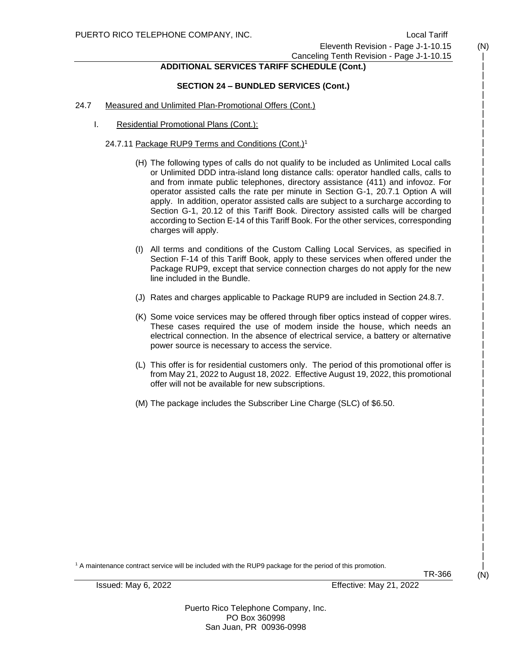| | | | | | | | | | | | | | | | | | | | | | | | | | | | | | | | | | | | | | | | | | | | | | | | | | | | | (N)

#### Eleventh Revision - Page J-1-10.15 Canceling Tenth Revision - Page J-1-10.15

#### **ADDITIONAL SERVICES TARIFF SCHEDULE (Cont.)**

#### **SECTION 24 – BUNDLED SERVICES (Cont.)**

#### 24.7 Measured and Unlimited Plan-Promotional Offers (Cont.)

I. Residential Promotional Plans (Cont.):

#### 24.7.11 Package RUP9 Terms and Conditions (Cont.)<sup>1</sup>

- (H) The following types of calls do not qualify to be included as Unlimited Local calls or Unlimited DDD intra-island long distance calls: operator handled calls, calls to and from inmate public telephones, directory assistance (411) and infovoz. For operator assisted calls the rate per minute in Section G-1, 20.7.1 Option A will apply. In addition, operator assisted calls are subject to a surcharge according to Section G-1, 20.12 of this Tariff Book. Directory assisted calls will be charged according to Section E-14 of this Tariff Book. For the other services, corresponding charges will apply.
- (I) All terms and conditions of the Custom Calling Local Services, as specified in Section F-14 of this Tariff Book, apply to these services when offered under the Package RUP9, except that service connection charges do not apply for the new line included in the Bundle.
- (J) Rates and charges applicable to Package RUP9 are included in Section 24.8.7.
- (K) Some voice services may be offered through fiber optics instead of copper wires. These cases required the use of modem inside the house, which needs an electrical connection. In the absence of electrical service, a battery or alternative power source is necessary to access the service.
- (L) This offer is for residential customers only. The period of this promotional offer is from May 21, 2022 to August 18, 2022. Effective August 19, 2022, this promotional offer will not be available for new subscriptions.
- (M) The package includes the Subscriber Line Charge (SLC) of \$6.50.

<sup>1</sup> A maintenance contract service will be included with the RUP9 package for the period of this promotion.

TR-366

Issued: May 6, 2022 Effective: May 21, 2022

Puerto Rico Telephone Company, Inc. PO Box 360998 San Juan, PR 00936-0998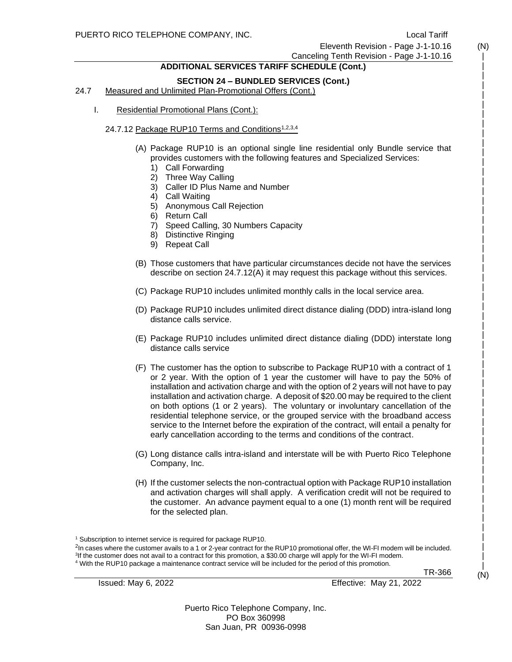# Eleventh Revision - Page J-1-10.16

Canceling Tenth Revision - Page J-1-10.16

#### **ADDITIONAL SERVICES TARIFF SCHEDULE (Cont.)**

#### **SECTION 24 – BUNDLED SERVICES (Cont.)**

24.7 Measured and Unlimited Plan-Promotional Offers (Cont.)

I. Residential Promotional Plans (Cont.):

#### 24.7.12 Package RUP10 Terms and Conditions<sup>1,2,3,4</sup>

- (A) Package RUP10 is an optional single line residential only Bundle service that provides customers with the following features and Specialized Services:
	- 1) Call Forwarding
	- 2) Three Way Calling
	- 3) Caller ID Plus Name and Number
	- 4) Call Waiting
	- 5) Anonymous Call Rejection
	- 6) Return Call
	- 7) Speed Calling, 30 Numbers Capacity
	- 8) Distinctive Ringing
	- 9) Repeat Call
- (B) Those customers that have particular circumstances decide not have the services describe on section 24.7.12(A) it may request this package without this services.
- (C) Package RUP10 includes unlimited monthly calls in the local service area.
- (D) Package RUP10 includes unlimited direct distance dialing (DDD) intra-island long distance calls service.
- (E) Package RUP10 includes unlimited direct distance dialing (DDD) interstate long distance calls service
- (F) The customer has the option to subscribe to Package RUP10 with a contract of 1 or 2 year. With the option of 1 year the customer will have to pay the 50% of installation and activation charge and with the option of 2 years will not have to pay installation and activation charge. A deposit of \$20.00 may be required to the client on both options (1 or 2 years). The voluntary or involuntary cancellation of the residential telephone service, or the grouped service with the broadband access service to the Internet before the expiration of the contract, will entail a penalty for early cancellation according to the terms and conditions of the contract.
- (G) Long distance calls intra-island and interstate will be with Puerto Rico Telephone Company, Inc.
- (H) If the customer selects the non-contractual option with Package RUP10 installation and activation charges will shall apply. A verification credit will not be required to the customer. An advance payment equal to a one (1) month rent will be required for the selected plan.

<sup>1</sup> Subscription to internet service is required for package RUP10.

<sup>2</sup>In cases where the customer avails to a 1 or 2-year contract for the RUP10 promotional offer, the WI-FI modem will be included. 3 If the customer does not avail to a contract for this promotion, a \$30.00 charge will apply for the WI-FI modem. <sup>4</sup> With the RUP10 package a maintenance contract service will be included for the period of this promotion.

TR-366

Issued: May 6, 2022 Effective: May 21, 2022

Puerto Rico Telephone Company, Inc. PO Box 360998 San Juan, PR 00936-0998

 | | | | | | | | | | | | | | | | | | | | | | | | | | | | | | | | | | | | | | | | | | | | | | | | | | | | | (N)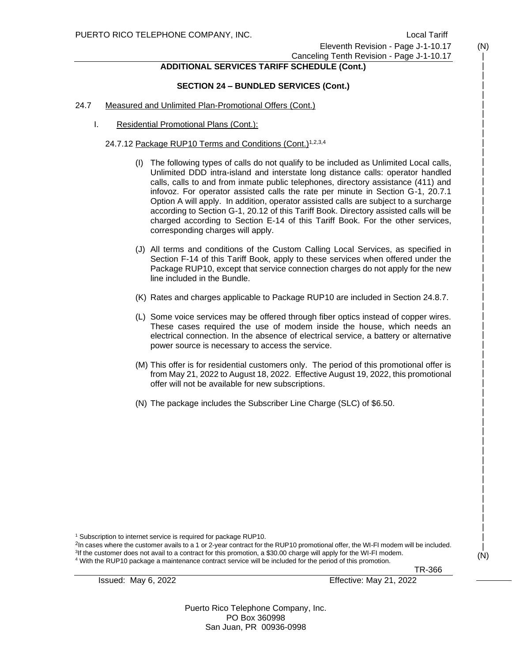| | | | | | | | | | | | | | | | | | | | | | | | | | | | | | | | | | | | | | | | | | | | | | | | | | | (N)

#### Eleventh Revision - Page J-1-10.17 Canceling Tenth Revision - Page J-1-10.17

#### **ADDITIONAL SERVICES TARIFF SCHEDULE (Cont.)**

#### **SECTION 24 – BUNDLED SERVICES (Cont.)**

#### 24.7 Measured and Unlimited Plan-Promotional Offers (Cont.)

I. Residential Promotional Plans (Cont.):

#### 24.7.12 Package RUP10 Terms and Conditions (Cont.)1,2,3,4

- (I) The following types of calls do not qualify to be included as Unlimited Local calls, Unlimited DDD intra-island and interstate long distance calls: operator handled calls, calls to and from inmate public telephones, directory assistance (411) and infovoz. For operator assisted calls the rate per minute in Section G-1, 20.7.1 Option A will apply. In addition, operator assisted calls are subject to a surcharge according to Section G-1, 20.12 of this Tariff Book. Directory assisted calls will be charged according to Section E-14 of this Tariff Book. For the other services, corresponding charges will apply.
- (J) All terms and conditions of the Custom Calling Local Services, as specified in Section F-14 of this Tariff Book, apply to these services when offered under the Package RUP10, except that service connection charges do not apply for the new line included in the Bundle.
- (K) Rates and charges applicable to Package RUP10 are included in Section 24.8.7.
- (L) Some voice services may be offered through fiber optics instead of copper wires. These cases required the use of modem inside the house, which needs an electrical connection. In the absence of electrical service, a battery or alternative power source is necessary to access the service.
- (M) This offer is for residential customers only. The period of this promotional offer is from May 21, 2022 to August 18, 2022. Effective August 19, 2022, this promotional offer will not be available for new subscriptions.
- (N) The package includes the Subscriber Line Charge (SLC) of \$6.50.

<sup>1</sup> Subscription to internet service is required for package RUP10.

<sup>2</sup>In cases where the customer avails to a 1 or 2-year contract for the RUP10 promotional offer, the WI-FI modem will be included. 3 If the customer does not avail to a contract for this promotion, a \$30.00 charge will apply for the WI-FI modem. <sup>4</sup> With the RUP10 package a maintenance contract service will be included for the period of this promotion.

TR-366

Issued: May 6, 2022 Effective: May 21, 2022

Puerto Rico Telephone Company, Inc. PO Box 360998 San Juan, PR 00936-0998